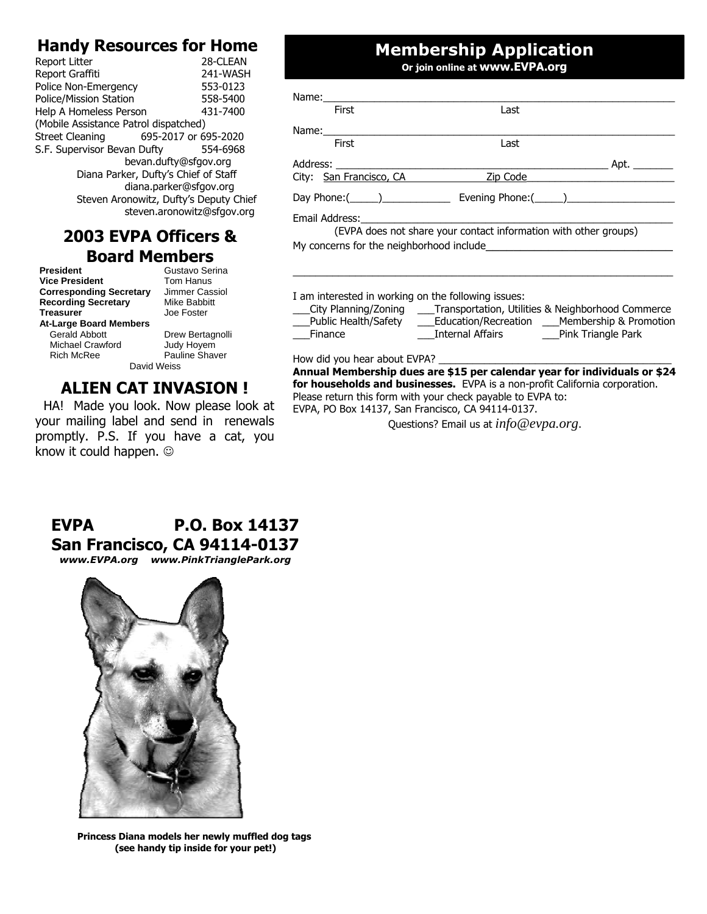## **Handy Resources for Home**

| Report Litter                         | 28-CLEAN                               |
|---------------------------------------|----------------------------------------|
| Report Graffiti                       | 241-WASH                               |
| Police Non-Emergency                  | 553-0123                               |
| <b>Police/Mission Station</b>         | 558-5400                               |
| Help A Homeless Person                | 431-7400                               |
| (Mobile Assistance Patrol dispatched) |                                        |
| Street Cleaning 695-2017 or 695-2020  |                                        |
| S.F. Supervisor Bevan Dufty           | 554-6968                               |
|                                       | bevan.dufty@sfgov.org                  |
|                                       | Diana Parker, Dufty's Chief of Staff   |
|                                       | diana.parker@sfgov.org                 |
|                                       | Steven Aronowitz, Dufty's Deputy Chief |
|                                       | steven.aronowitz@sfgov.org             |
|                                       |                                        |

#### **2003 EVPA Officers & Board Members**

**President** Gustavo Serina<br> **Vice President** Tom Hanus **Vice President Corresponding Secretary** Jimmer Cassiol<br>**Recording Secretary** Mike Babbitt **Recording Secretary Treasurer** Joe Foster **At-Large Board Members** Gerald Abbott **Drew Bertagnolli**<br>
Michael Crawford Judy Hoyem Michael Crawford Rich McRee Pauline Shaver

David Weiss

## **ALIEN CAT INVASION !**

HA! Made you look. Now please look at your mailing label and send in renewals promptly. P.S. If you have a cat, you know it could happen.  $\odot$ 

## **Membership Application**

**Or join online at www.EVPA.org**

| First                   | Last                                                             |          |
|-------------------------|------------------------------------------------------------------|----------|
|                         |                                                                  |          |
| First                   | Last                                                             |          |
|                         |                                                                  |          |
| City: San Francisco, CA |                                                                  | Zip Code |
|                         |                                                                  |          |
|                         |                                                                  |          |
|                         | (EVPA does not share your contact information with other groups) |          |

**Annual Membership dues are \$15 per calendar year for individuals or \$24 for households and businesses.** EVPA is a non-profit California corporation. Please return this form with your check payable to EVPA to: EVPA, PO Box 14137, San Francisco, CA 94114-0137.

Questions? Email us at *info@evpa.org*.

# **EVPA P.O. Box 14137 San Francisco, CA 94114-0137**

*www.EVPA.org**www.PinkTrianglePark.org*



**Princess Diana models her newly muffled dog tags (see handy tip inside for your pet!)**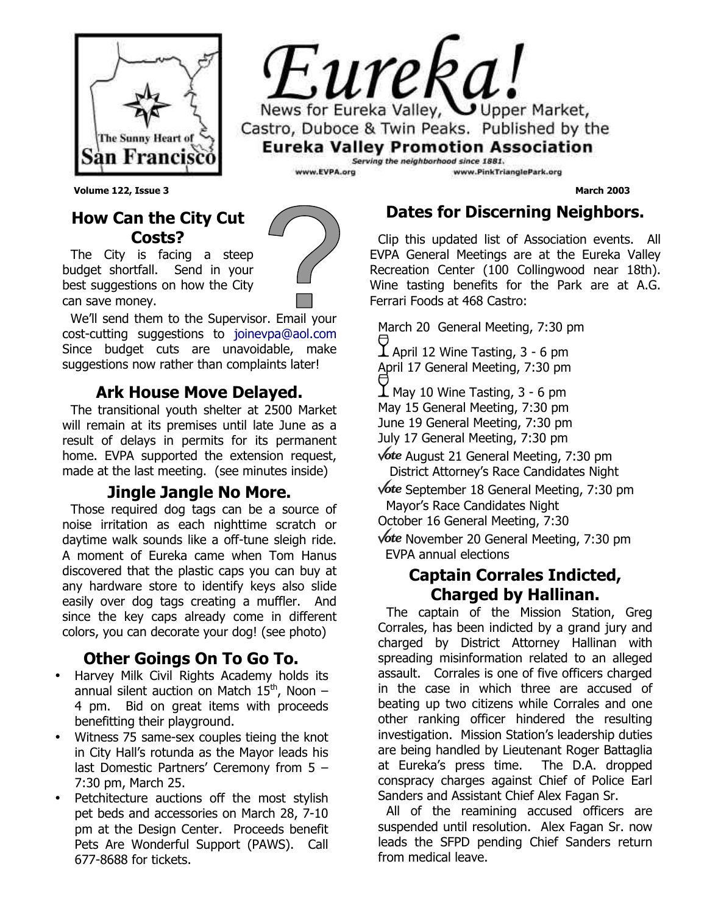



**Volume 122, Issue 3 March 2003**

#### **How Can the City Cut Costs?**

The City is facing a steep budget shortfall. Send in your best suggestions on how the City can save money.

We'll send them to the Supervisor. Email your cost-cutting suggestions to joinevpa@aol.com Since budget cuts are unavoidable, make suggestions now rather than complaints later!

#### **Ark House Move Delayed.**

The transitional youth shelter at 2500 Market will remain at its premises until late June as a result of delays in permits for its permanent home. EVPA supported the extension request, made at the last meeting. (see minutes inside)

#### **Jingle Jangle No More.**

Those required dog tags can be a source of noise irritation as each nighttime scratch or daytime walk sounds like a off-tune sleigh ride. A moment of Eureka came when Tom Hanus discovered that the plastic caps you can buy at any hardware store to identify keys also slide easily over dog tags creating a muffler. And since the key caps already come in different colors, you can decorate your dog! (see photo)

#### **Other Goings On To Go To.**

- Harvey Milk Civil Rights Academy holds its annual silent auction on Match  $15<sup>th</sup>$ , Noon – 4 pm. Bid on great items with proceeds benefitting their playground.
- Witness 75 same-sex couples tieing the knot in City Hall's rotunda as the Mayor leads his last Domestic Partners' Ceremony from 5 – 7:30 pm, March 25.
- Petchitecture auctions off the most stylish pet beds and accessories on March 28, 7-10 pm at the Design Center. Proceeds benefit Pets Are Wonderful Support (PAWS). Call 677-8688 for tickets.

## **Dates for Discerning Neighbors.**

Clip this updated list of Association events. All EVPA General Meetings are at the Eureka Valley Recreation Center (100 Collingwood near 18th). Wine tasting benefits for the Park are at A.G. Ferrari Foods at 468 Castro:

March 20 General Meeting, 7:30 pm

 $\bm{\mathop{\perp}}$  April 12 Wine Tasting, 3 - 6 pm April 17 General Meeting, 7:30 pm

 $\overline{\mathbf{1}}$  May 10 Wine Tasting, 3 - 6 pm May 15 General Meeting, 7:30 pm June 19 General Meeting, 7:30 pm

July 17 General Meeting, 7:30 pm

August 21 General Meeting, 7:30 pm District Attorney's Race Candidates Night

**Vote** September 18 General Meeting, 7:30 pm Mayor's Race Candidates Night

October 16 General Meeting, 7:30

**Vote** November 20 General Meeting, 7:30 pm EVPA annual elections

#### **Captain Corrales Indicted, Charged by Hallinan.**

The captain of the Mission Station, Greg Corrales, has been indicted by a grand jury and charged by District Attorney Hallinan with spreading misinformation related to an alleged assault. Corrales is one of five officers charged in the case in which three are accused of beating up two citizens while Corrales and one other ranking officer hindered the resulting investigation. Mission Station's leadership duties are being handled by Lieutenant Roger Battaglia at Eureka's press time. The D.A. dropped conspracy charges against Chief of Police Earl Sanders and Assistant Chief Alex Fagan Sr.

All of the reamining accused officers are suspended until resolution. Alex Fagan Sr. now leads the SFPD pending Chief Sanders return from medical leave.

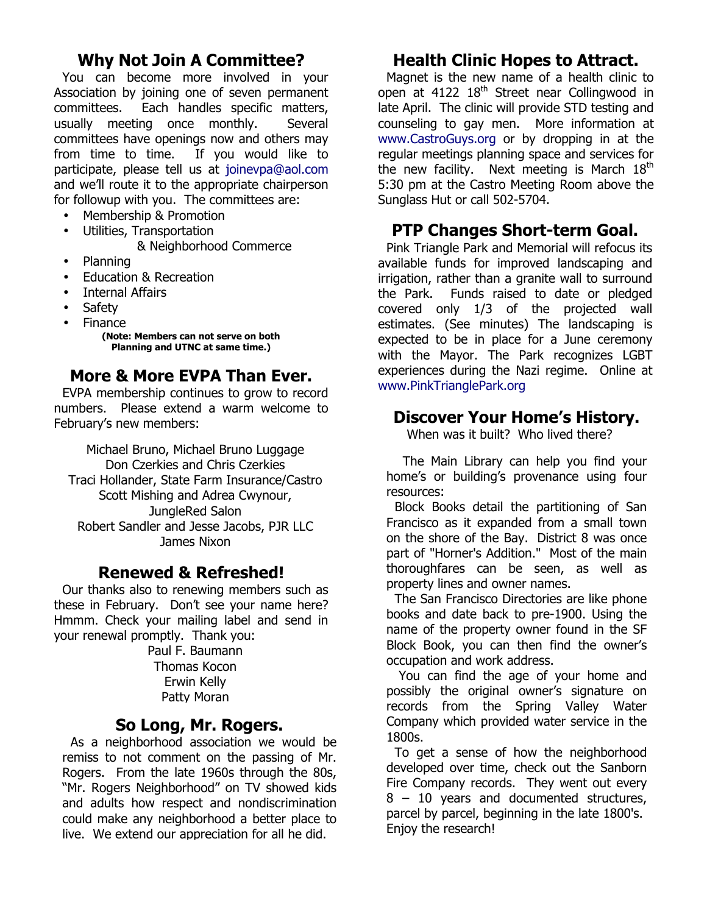#### **Why Not Join A Committee?**

You can become more involved in your Association by joining one of seven permanent committees. Each handles specific matters, usually meeting once monthly. Several committees have openings now and others may from time to time. If you would like to participate, please tell us at joinevpa@aol.com and we'll route it to the appropriate chairperson for followup with you. The committees are:

- Membership & Promotion
- Utilities, Transportation
	- & Neighborhood Commerce
- Planning
- Education & Recreation
- **Internal Affairs**
- Safety
- Finance

**(Note: Members can not serve on both Planning and UTNC at same time.)**

#### **More & More EVPA Than Ever.**

EVPA membership continues to grow to record numbers. Please extend a warm welcome to February's new members:

Michael Bruno, Michael Bruno Luggage Don Czerkies and Chris Czerkies Traci Hollander, State Farm Insurance/Castro Scott Mishing and Adrea Cwynour, JungleRed Salon Robert Sandler and Jesse Jacobs, PJR LLC James Nixon

#### **Renewed & Refreshed!**

Our thanks also to renewing members such as these in February. Don't see your name here? Hmmm. Check your mailing label and send in your renewal promptly. Thank you:

Paul F. Baumann Thomas Kocon Erwin Kelly Patty Moran

#### **So Long, Mr. Rogers.**

As a neighborhood association we would be remiss to not comment on the passing of Mr. Rogers. From the late 1960s through the 80s, "Mr. Rogers Neighborhood" on TV showed kids and adults how respect and nondiscrimination could make any neighborhood a better place to live. We extend our appreciation for all he did.

#### **Health Clinic Hopes to Attract.**

Magnet is the new name of a health clinic to open at  $4122 \, 18^{th}$  Street near Collingwood in late April. The clinic will provide STD testing and counseling to gay men. More information at www.CastroGuys.org or by dropping in at the regular meetings planning space and services for the new facility. Next meeting is March  $18<sup>th</sup>$ 5:30 pm at the Castro Meeting Room above the Sunglass Hut or call 502-5704.

#### **PTP Changes Short-term Goal.**

Pink Triangle Park and Memorial will refocus its available funds for improved landscaping and irrigation, rather than a granite wall to surround the Park. Funds raised to date or pledged covered only 1/3 of the projected wall estimates. (See minutes) The landscaping is expected to be in place for a June ceremony with the Mayor. The Park recognizes LGBT experiences during the Nazi regime. Online at www.PinkTrianglePark.org

#### **Discover Your Home's History.**

When was it built? Who lived there?

 The Main Library can help you find your home's or building's provenance using four resources:

Block Books detail the partitioning of San Francisco as it expanded from a small town on the shore of the Bay. District 8 was once part of "Horner's Addition." Most of the main thoroughfares can be seen, as well as property lines and owner names.

The San Francisco Directories are like phone books and date back to pre-1900. Using the name of the property owner found in the SF Block Book, you can then find the owner's occupation and work address.

 You can find the age of your home and possibly the original owner's signature on records from the Spring Valley Water Company which provided water service in the 1800s.

To get a sense of how the neighborhood developed over time, check out the Sanborn Fire Company records. They went out every 8 – 10 years and documented structures, parcel by parcel, beginning in the late 1800's. Enjoy the research!